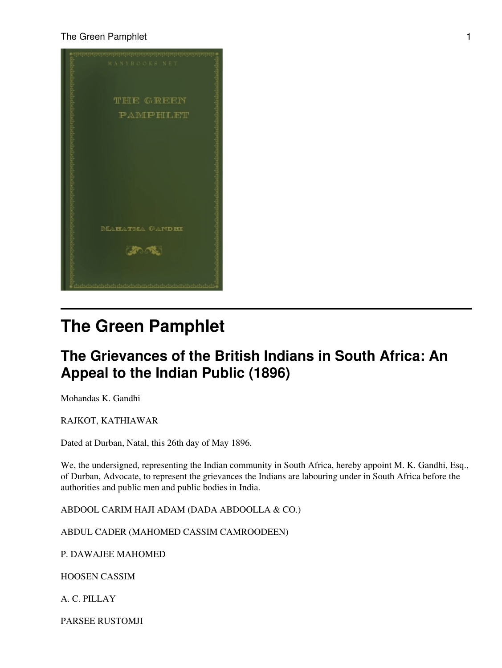### The Green Pamphlet 1



# **The Green Pamphlet**

# **The Grievances of the British Indians in South Africa: An Appeal to the Indian Public (1896)**

Mohandas K. Gandhi

RAJKOT, KATHIAWAR

Dated at Durban, Natal, this 26th day of May 1896.

We, the undersigned, representing the Indian community in South Africa, hereby appoint M. K. Gandhi, Esq., of Durban, Advocate, to represent the grievances the Indians are labouring under in South Africa before the authorities and public men and public bodies in India.

ABDOOL CARIM HAJI ADAM (DADA ABDOOLLA & CO.)

ABDUL CADER (MAHOMED CASSIM CAMROODEEN)

P. DAWAJEE MAHOMED

HOOSEN CASSIM

A. C. PILLAY

PARSEE RUSTOMJI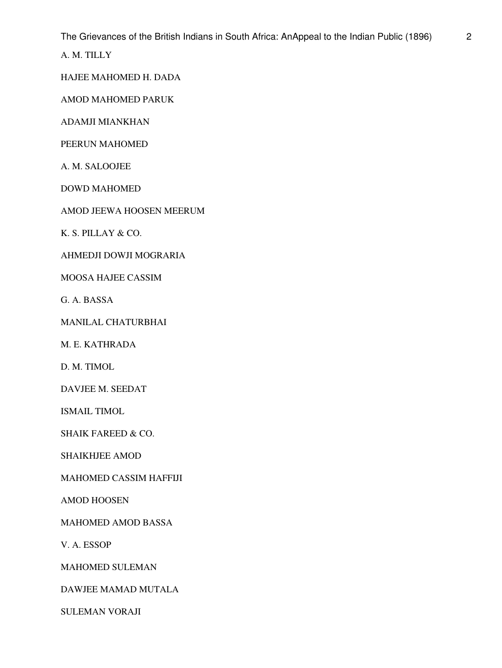A. M. TILLY

HAJEE MAHOMED H. DADA

AMOD MAHOMED PARUK

ADAMJI MIANKHAN

PEERUN MAHOMED

A. M. SALOOJEE

DOWD MAHOMED

AMOD JEEWA HOOSEN MEERUM

K. S. PILLAY & CO.

AHMEDJI DOWJI MOGRARIA

MOOSA HAJEE CASSIM

G. A. BASSA

MANILAL CHATURBHAI

M. E. KATHRADA

D. M. TIMOL

DAVJEE M. SEEDAT

ISMAIL TIMOL

SHAIK FAREED & CO.

SHAIKHJEE AMOD

MAHOMED CASSIM HAFFIJI

AMOD HOOSEN

MAHOMED AMOD BASSA

V. A. ESSOP

MAHOMED SULEMAN

DAWJEE MAMAD MUTALA

SULEMAN VORAJI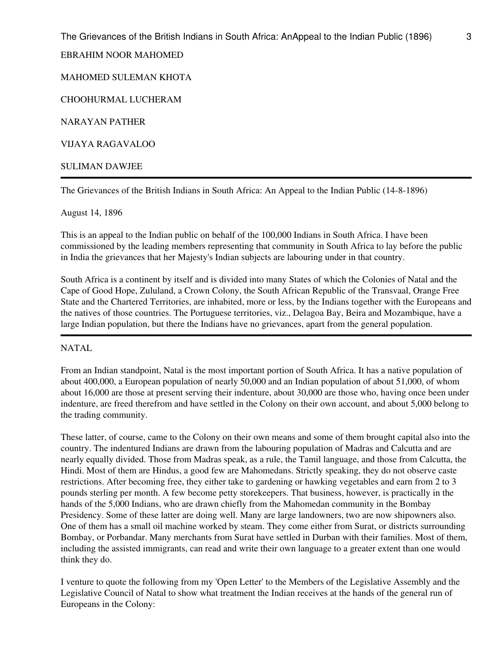EBRAHIM NOOR MAHOMED

MAHOMED SULEMAN KHOTA

CHOOHURMAL LUCHERAM

NARAYAN PATHER

VIJAYA RAGAVALOO

### SULIMAN DAWJEE

The Grievances of the British Indians in South Africa: An Appeal to the Indian Public (14-8-1896)

August 14, 1896

This is an appeal to the Indian public on behalf of the 100,000 Indians in South Africa. I have been commissioned by the leading members representing that community in South Africa to lay before the public in India the grievances that her Majesty's Indian subjects are labouring under in that country.

South Africa is a continent by itself and is divided into many States of which the Colonies of Natal and the Cape of Good Hope, Zululand, a Crown Colony, the South African Republic of the Transvaal, Orange Free State and the Chartered Territories, are inhabited, more or less, by the Indians together with the Europeans and the natives of those countries. The Portuguese territories, viz., Delagoa Bay, Beira and Mozambique, have a large Indian population, but there the Indians have no grievances, apart from the general population.

# NATAL

From an Indian standpoint, Natal is the most important portion of South Africa. It has a native population of about 400,000, a European population of nearly 50,000 and an Indian population of about 51,000, of whom about 16,000 are those at present serving their indenture, about 30,000 are those who, having once been under indenture, are freed therefrom and have settled in the Colony on their own account, and about 5,000 belong to the trading community.

These latter, of course, came to the Colony on their own means and some of them brought capital also into the country. The indentured Indians are drawn from the labouring population of Madras and Calcutta and are nearly equally divided. Those from Madras speak, as a rule, the Tamil language, and those from Calcutta, the Hindi. Most of them are Hindus, a good few are Mahomedans. Strictly speaking, they do not observe caste restrictions. After becoming free, they either take to gardening or hawking vegetables and earn from 2 to 3 pounds sterling per month. A few become petty storekeepers. That business, however, is practically in the hands of the 5,000 Indians, who are drawn chiefly from the Mahomedan community in the Bombay Presidency. Some of these latter are doing well. Many are large landowners, two are now shipowners also. One of them has a small oil machine worked by steam. They come either from Surat, or districts surrounding Bombay, or Porbandar. Many merchants from Surat have settled in Durban with their families. Most of them, including the assisted immigrants, can read and write their own language to a greater extent than one would think they do.

I venture to quote the following from my 'Open Letter' to the Members of the Legislative Assembly and the Legislative Council of Natal to show what treatment the Indian receives at the hands of the general run of Europeans in the Colony: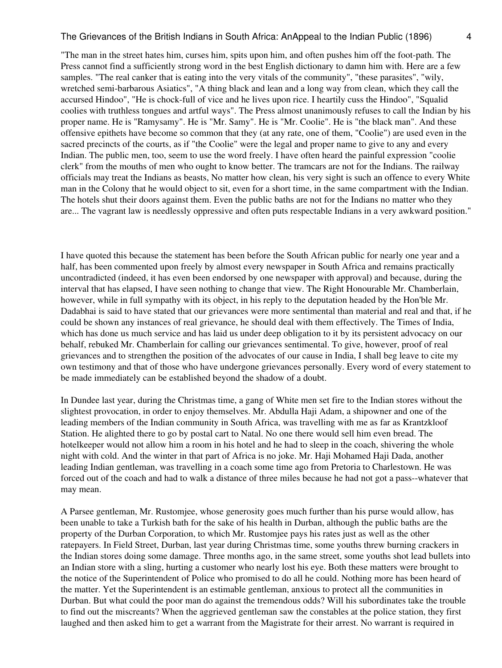"The man in the street hates him, curses him, spits upon him, and often pushes him off the foot-path. The Press cannot find a sufficiently strong word in the best English dictionary to damn him with. Here are a few samples. "The real canker that is eating into the very vitals of the community", "these parasites", "wily, wretched semi-barbarous Asiatics", "A thing black and lean and a long way from clean, which they call the accursed Hindoo", "He is chock-full of vice and he lives upon rice. I heartily cuss the Hindoo", "Squalid coolies with truthless tongues and artful ways". The Press almost unanimously refuses to call the Indian by his proper name. He is "Ramysamy". He is "Mr. Samy". He is "Mr. Coolie". He is "the black man". And these offensive epithets have become so common that they (at any rate, one of them, "Coolie") are used even in the sacred precincts of the courts, as if "the Coolie" were the legal and proper name to give to any and every Indian. The public men, too, seem to use the word freely. I have often heard the painful expression "coolie clerk" from the mouths of men who ought to know better. The tramcars are not for the Indians. The railway officials may treat the Indians as beasts, No matter how clean, his very sight is such an offence to every White man in the Colony that he would object to sit, even for a short time, in the same compartment with the Indian. The hotels shut their doors against them. Even the public baths are not for the Indians no matter who they are... The vagrant law is needlessly oppressive and often puts respectable Indians in a very awkward position."

I have quoted this because the statement has been before the South African public for nearly one year and a half, has been commented upon freely by almost every newspaper in South Africa and remains practically uncontradicted (indeed, it has even been endorsed by one newspaper with approval) and because, during the interval that has elapsed, I have seen nothing to change that view. The Right Honourable Mr. Chamberlain, however, while in full sympathy with its object, in his reply to the deputation headed by the Hon'ble Mr. Dadabhai is said to have stated that our grievances were more sentimental than material and real and that, if he could be shown any instances of real grievance, he should deal with them effectively. The Times of India, which has done us much service and has laid us under deep obligation to it by its persistent advocacy on our behalf, rebuked Mr. Chamberlain for calling our grievances sentimental. To give, however, proof of real grievances and to strengthen the position of the advocates of our cause in India, I shall beg leave to cite my own testimony and that of those who have undergone grievances personally. Every word of every statement to be made immediately can be established beyond the shadow of a doubt.

In Dundee last year, during the Christmas time, a gang of White men set fire to the Indian stores without the slightest provocation, in order to enjoy themselves. Mr. Abdulla Haji Adam, a shipowner and one of the leading members of the Indian community in South Africa, was travelling with me as far as Krantzkloof Station. He alighted there to go by postal cart to Natal. No one there would sell him even bread. The hotelkeeper would not allow him a room in his hotel and he had to sleep in the coach, shivering the whole night with cold. And the winter in that part of Africa is no joke. Mr. Haji Mohamed Haji Dada, another leading Indian gentleman, was travelling in a coach some time ago from Pretoria to Charlestown. He was forced out of the coach and had to walk a distance of three miles because he had not got a pass--whatever that may mean.

A Parsee gentleman, Mr. Rustomjee, whose generosity goes much further than his purse would allow, has been unable to take a Turkish bath for the sake of his health in Durban, although the public baths are the property of the Durban Corporation, to which Mr. Rustomjee pays his rates just as well as the other ratepayers. In Field Street, Durban, last year during Christmas time, some youths threw burning crackers in the Indian stores doing some damage. Three months ago, in the same street, some youths shot lead bullets into an Indian store with a sling, hurting a customer who nearly lost his eye. Both these matters were brought to the notice of the Superintendent of Police who promised to do all he could. Nothing more has been heard of the matter. Yet the Superintendent is an estimable gentleman, anxious to protect all the communities in Durban. But what could the poor man do against the tremendous odds? Will his subordinates take the trouble to find out the miscreants? When the aggrieved gentleman saw the constables at the police station, they first laughed and then asked him to get a warrant from the Magistrate for their arrest. No warrant is required in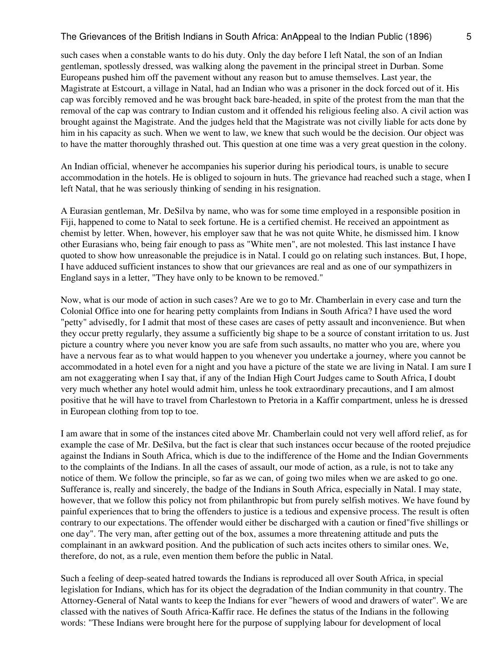such cases when a constable wants to do his duty. Only the day before I left Natal, the son of an Indian gentleman, spotlessly dressed, was walking along the pavement in the principal street in Durban. Some Europeans pushed him off the pavement without any reason but to amuse themselves. Last year, the Magistrate at Estcourt, a village in Natal, had an Indian who was a prisoner in the dock forced out of it. His cap was forcibly removed and he was brought back bare-headed, in spite of the protest from the man that the removal of the cap was contrary to Indian custom and it offended his religious feeling also. A civil action was brought against the Magistrate. And the judges held that the Magistrate was not civilly liable for acts done by him in his capacity as such. When we went to law, we knew that such would be the decision. Our object was to have the matter thoroughly thrashed out. This question at one time was a very great question in the colony.

An Indian official, whenever he accompanies his superior during his periodical tours, is unable to secure accommodation in the hotels. He is obliged to sojourn in huts. The grievance had reached such a stage, when I left Natal, that he was seriously thinking of sending in his resignation.

A Eurasian gentleman, Mr. DeSilva by name, who was for some time employed in a responsible position in Fiji, happened to come to Natal to seek fortune. He is a certified chemist. He received an appointment as chemist by letter. When, however, his employer saw that he was not quite White, he dismissed him. I know other Eurasians who, being fair enough to pass as "White men", are not molested. This last instance I have quoted to show how unreasonable the prejudice is in Natal. I could go on relating such instances. But, I hope, I have adduced sufficient instances to show that our grievances are real and as one of our sympathizers in England says in a letter, "They have only to be known to be removed."

Now, what is our mode of action in such cases? Are we to go to Mr. Chamberlain in every case and turn the Colonial Office into one for hearing petty complaints from Indians in South Africa? I have used the word "petty" advisedly, for I admit that most of these cases are cases of petty assault and inconvenience. But when they occur pretty regularly, they assume a sufficiently big shape to be a source of constant irritation to us. Just picture a country where you never know you are safe from such assaults, no matter who you are, where you have a nervous fear as to what would happen to you whenever you undertake a journey, where you cannot be accommodated in a hotel even for a night and you have a picture of the state we are living in Natal. I am sure I am not exaggerating when I say that, if any of the Indian High Court Judges came to South Africa, I doubt very much whether any hotel would admit him, unless he took extraordinary precautions, and I am almost positive that he will have to travel from Charlestown to Pretoria in a Kaffir compartment, unless he is dressed in European clothing from top to toe.

I am aware that in some of the instances cited above Mr. Chamberlain could not very well afford relief, as for example the case of Mr. DeSilva, but the fact is clear that such instances occur because of the rooted prejudice against the Indians in South Africa, which is due to the indifference of the Home and the Indian Governments to the complaints of the Indians. In all the cases of assault, our mode of action, as a rule, is not to take any notice of them. We follow the principle, so far as we can, of going two miles when we are asked to go one. Sufferance is, really and sincerely, the badge of the Indians in South Africa, especially in Natal. I may state, however, that we follow this policy not from philanthropic but from purely selfish motives. We have found by painful experiences that to bring the offenders to justice is a tedious and expensive process. The result is often contrary to our expectations. The offender would either be discharged with a caution or fined"five shillings or one day". The very man, after getting out of the box, assumes a more threatening attitude and puts the complainant in an awkward position. And the publication of such acts incites others to similar ones. We, therefore, do not, as a rule, even mention them before the public in Natal.

Such a feeling of deep-seated hatred towards the Indians is reproduced all over South Africa, in special legislation for Indians, which has for its object the degradation of the Indian community in that country. The Attorney-General of Natal wants to keep the Indians for ever "hewers of wood and drawers of water". We are classed with the natives of South Africa-Kaffir race. He defines the status of the Indians in the following words: "These Indians were brought here for the purpose of supplying labour for development of local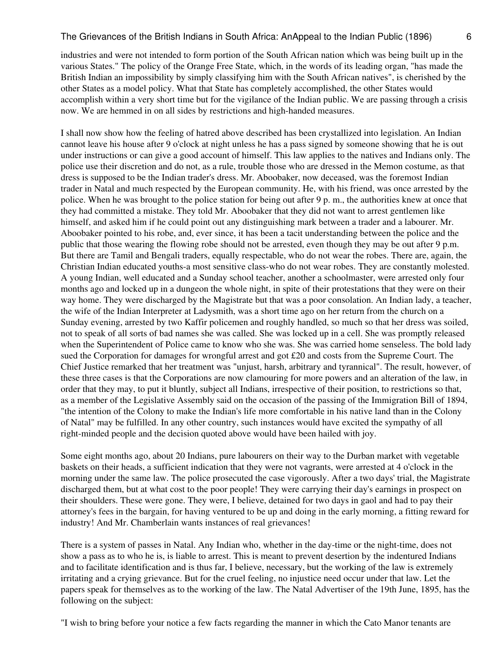industries and were not intended to form portion of the South African nation which was being built up in the various States." The policy of the Orange Free State, which, in the words of its leading organ, "has made the British Indian an impossibility by simply classifying him with the South African natives", is cherished by the other States as a model policy. What that State has completely accomplished, the other States would accomplish within a very short time but for the vigilance of the Indian public. We are passing through a crisis now. We are hemmed in on all sides by restrictions and high-handed measures.

I shall now show how the feeling of hatred above described has been crystallized into legislation. An Indian cannot leave his house after 9 o'clock at night unless he has a pass signed by someone showing that he is out under instructions or can give a good account of himself. This law applies to the natives and Indians only. The police use their discretion and do not, as a rule, trouble those who are dressed in the Memon costume, as that dress is supposed to be the Indian trader's dress. Mr. Aboobaker, now deceased, was the foremost Indian trader in Natal and much respected by the European community. He, with his friend, was once arrested by the police. When he was brought to the police station for being out after 9 p. m., the authorities knew at once that they had committed a mistake. They told Mr. Aboobaker that they did not want to arrest gentlemen like himself, and asked him if he could point out any distinguishing mark between a trader and a labourer. Mr. Aboobaker pointed to his robe, and, ever since, it has been a tacit understanding between the police and the public that those wearing the flowing robe should not be arrested, even though they may be out after 9 p.m. But there are Tamil and Bengali traders, equally respectable, who do not wear the robes. There are, again, the Christian Indian educated youths-a most sensitive class-who do not wear robes. They are constantly molested. A young Indian, well educated and a Sunday school teacher, another a schoolmaster, were arrested only four months ago and locked up in a dungeon the whole night, in spite of their protestations that they were on their way home. They were discharged by the Magistrate but that was a poor consolation. An Indian lady, a teacher, the wife of the Indian Interpreter at Ladysmith, was a short time ago on her return from the church on a Sunday evening, arrested by two Kaffir policemen and roughly handled, so much so that her dress was soiled, not to speak of all sorts of bad names she was called. She was locked up in a cell. She was promptly released when the Superintendent of Police came to know who she was. She was carried home senseless. The bold lady sued the Corporation for damages for wrongful arrest and got £20 and costs from the Supreme Court. The Chief Justice remarked that her treatment was "unjust, harsh, arbitrary and tyrannical". The result, however, of these three cases is that the Corporations are now clamouring for more powers and an alteration of the law, in order that they may, to put it bluntly, subject all Indians, irrespective of their position, to restrictions so that, as a member of the Legislative Assembly said on the occasion of the passing of the Immigration Bill of 1894, "the intention of the Colony to make the Indian's life more comfortable in his native land than in the Colony of Natal" may be fulfilled. In any other country, such instances would have excited the sympathy of all right-minded people and the decision quoted above would have been hailed with joy.

Some eight months ago, about 20 Indians, pure labourers on their way to the Durban market with vegetable baskets on their heads, a sufficient indication that they were not vagrants, were arrested at 4 o'clock in the morning under the same law. The police prosecuted the case vigorously. After a two days' trial, the Magistrate discharged them, but at what cost to the poor people! They were carrying their day's earnings in prospect on their shoulders. These were gone. They were, I believe, detained for two days in gaol and had to pay their attorney's fees in the bargain, for having ventured to be up and doing in the early morning, a fitting reward for industry! And Mr. Chamberlain wants instances of real grievances!

There is a system of passes in Natal. Any Indian who, whether in the day-time or the night-time, does not show a pass as to who he is, is liable to arrest. This is meant to prevent desertion by the indentured Indians and to facilitate identification and is thus far, I believe, necessary, but the working of the law is extremely irritating and a crying grievance. But for the cruel feeling, no injustice need occur under that law. Let the papers speak for themselves as to the working of the law. The Natal Advertiser of the 19th June, 1895, has the following on the subject:

"I wish to bring before your notice a few facts regarding the manner in which the Cato Manor tenants are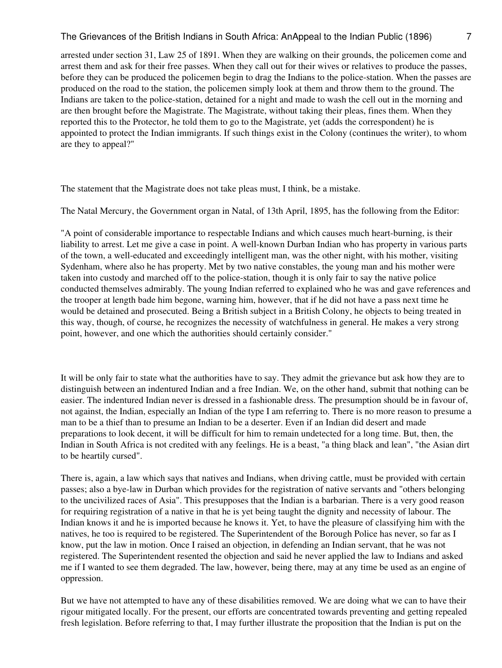arrested under section 31, Law 25 of 1891. When they are walking on their grounds, the policemen come and arrest them and ask for their free passes. When they call out for their wives or relatives to produce the passes, before they can be produced the policemen begin to drag the Indians to the police-station. When the passes are produced on the road to the station, the policemen simply look at them and throw them to the ground. The Indians are taken to the police-station, detained for a night and made to wash the cell out in the morning and are then brought before the Magistrate. The Magistrate, without taking their pleas, fines them. When they reported this to the Protector, he told them to go to the Magistrate, yet (adds the correspondent) he is appointed to protect the Indian immigrants. If such things exist in the Colony (continues the writer), to whom are they to appeal?"

The statement that the Magistrate does not take pleas must, I think, be a mistake.

The Natal Mercury, the Government organ in Natal, of 13th April, 1895, has the following from the Editor:

"A point of considerable importance to respectable Indians and which causes much heart-burning, is their liability to arrest. Let me give a case in point. A well-known Durban Indian who has property in various parts of the town, a well-educated and exceedingly intelligent man, was the other night, with his mother, visiting Sydenham, where also he has property. Met by two native constables, the young man and his mother were taken into custody and marched off to the police-station, though it is only fair to say the native police conducted themselves admirably. The young Indian referred to explained who he was and gave references and the trooper at length bade him begone, warning him, however, that if he did not have a pass next time he would be detained and prosecuted. Being a British subject in a British Colony, he objects to being treated in this way, though, of course, he recognizes the necessity of watchfulness in general. He makes a very strong point, however, and one which the authorities should certainly consider."

It will be only fair to state what the authorities have to say. They admit the grievance but ask how they are to distinguish between an indentured Indian and a free Indian. We, on the other hand, submit that nothing can be easier. The indentured Indian never is dressed in a fashionable dress. The presumption should be in favour of, not against, the Indian, especially an Indian of the type I am referring to. There is no more reason to presume a man to be a thief than to presume an Indian to be a deserter. Even if an Indian did desert and made preparations to look decent, it will be difficult for him to remain undetected for a long time. But, then, the Indian in South Africa is not credited with any feelings. He is a beast, "a thing black and lean", "the Asian dirt to be heartily cursed".

There is, again, a law which says that natives and Indians, when driving cattle, must be provided with certain passes; also a bye-law in Durban which provides for the registration of native servants and "others belonging to the uncivilized races of Asia". This presupposes that the Indian is a barbarian. There is a very good reason for requiring registration of a native in that he is yet being taught the dignity and necessity of labour. The Indian knows it and he is imported because he knows it. Yet, to have the pleasure of classifying him with the natives, he too is required to be registered. The Superintendent of the Borough Police has never, so far as I know, put the law in motion. Once I raised an objection, in defending an Indian servant, that he was not registered. The Superintendent resented the objection and said he never applied the law to Indians and asked me if I wanted to see them degraded. The law, however, being there, may at any time be used as an engine of oppression.

But we have not attempted to have any of these disabilities removed. We are doing what we can to have their rigour mitigated locally. For the present, our efforts are concentrated towards preventing and getting repealed fresh legislation. Before referring to that, I may further illustrate the proposition that the Indian is put on the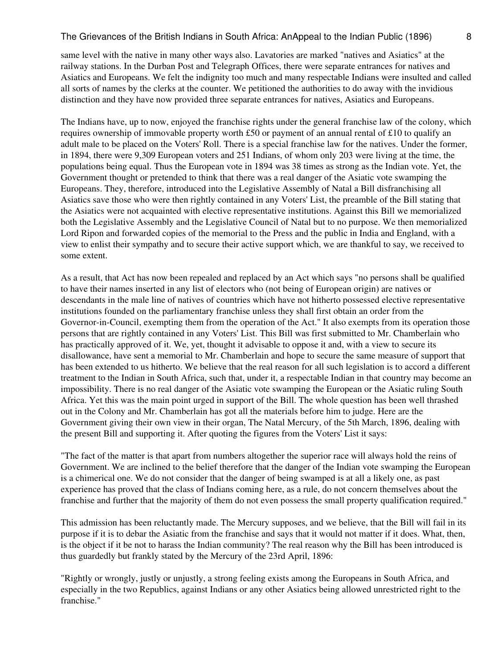same level with the native in many other ways also. Lavatories are marked "natives and Asiatics" at the railway stations. In the Durban Post and Telegraph Offices, there were separate entrances for natives and Asiatics and Europeans. We felt the indignity too much and many respectable Indians were insulted and called all sorts of names by the clerks at the counter. We petitioned the authorities to do away with the invidious distinction and they have now provided three separate entrances for natives, Asiatics and Europeans.

The Indians have, up to now, enjoyed the franchise rights under the general franchise law of the colony, which requires ownership of immovable property worth £50 or payment of an annual rental of £10 to qualify an adult male to be placed on the Voters' Roll. There is a special franchise law for the natives. Under the former, in 1894, there were 9,309 European voters and 251 Indians, of whom only 203 were living at the time, the populations being equal. Thus the European vote in 1894 was 38 times as strong as the Indian vote. Yet, the Government thought or pretended to think that there was a real danger of the Asiatic vote swamping the Europeans. They, therefore, introduced into the Legislative Assembly of Natal a Bill disfranchising all Asiatics save those who were then rightly contained in any Voters' List, the preamble of the Bill stating that the Asiatics were not acquainted with elective representative institutions. Against this Bill we memorialized both the Legislative Assembly and the Legislative Council of Natal but to no purpose. We then memorialized Lord Ripon and forwarded copies of the memorial to the Press and the public in India and England, with a view to enlist their sympathy and to secure their active support which, we are thankful to say, we received to some extent.

As a result, that Act has now been repealed and replaced by an Act which says "no persons shall be qualified to have their names inserted in any list of electors who (not being of European origin) are natives or descendants in the male line of natives of countries which have not hitherto possessed elective representative institutions founded on the parliamentary franchise unless they shall first obtain an order from the Governor-in-Council, exempting them from the operation of the Act." It also exempts from its operation those persons that are rightly contained in any Voters' List. This Bill was first submitted to Mr. Chamberlain who has practically approved of it. We, yet, thought it advisable to oppose it and, with a view to secure its disallowance, have sent a memorial to Mr. Chamberlain and hope to secure the same measure of support that has been extended to us hitherto. We believe that the real reason for all such legislation is to accord a different treatment to the Indian in South Africa, such that, under it, a respectable Indian in that country may become an impossibility. There is no real danger of the Asiatic vote swamping the European or the Asiatic ruling South Africa. Yet this was the main point urged in support of the Bill. The whole question has been well thrashed out in the Colony and Mr. Chamberlain has got all the materials before him to judge. Here are the Government giving their own view in their organ, The Natal Mercury, of the 5th March, 1896, dealing with the present Bill and supporting it. After quoting the figures from the Voters' List it says:

"The fact of the matter is that apart from numbers altogether the superior race will always hold the reins of Government. We are inclined to the belief therefore that the danger of the Indian vote swamping the European is a chimerical one. We do not consider that the danger of being swamped is at all a likely one, as past experience has proved that the class of Indians coming here, as a rule, do not concern themselves about the franchise and further that the majority of them do not even possess the small property qualification required."

This admission has been reluctantly made. The Mercury supposes, and we believe, that the Bill will fail in its purpose if it is to debar the Asiatic from the franchise and says that it would not matter if it does. What, then, is the object if it be not to harass the Indian community? The real reason why the Bill has been introduced is thus guardedly but frankly stated by the Mercury of the 23rd April, 1896:

"Rightly or wrongly, justly or unjustly, a strong feeling exists among the Europeans in South Africa, and especially in the two Republics, against Indians or any other Asiatics being allowed unrestricted right to the franchise."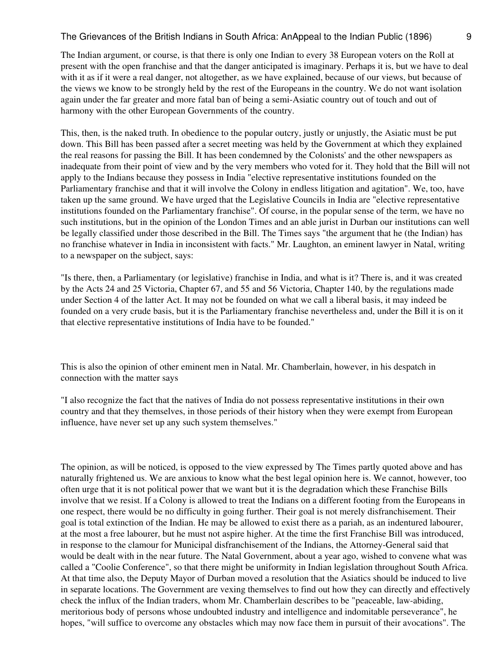The Indian argument, or course, is that there is only one Indian to every 38 European voters on the Roll at present with the open franchise and that the danger anticipated is imaginary. Perhaps it is, but we have to deal with it as if it were a real danger, not altogether, as we have explained, because of our views, but because of the views we know to be strongly held by the rest of the Europeans in the country. We do not want isolation again under the far greater and more fatal ban of being a semi-Asiatic country out of touch and out of harmony with the other European Governments of the country.

This, then, is the naked truth. In obedience to the popular outcry, justly or unjustly, the Asiatic must be put down. This Bill has been passed after a secret meeting was held by the Government at which they explained the real reasons for passing the Bill. It has been condemned by the Colonists' and the other newspapers as inadequate from their point of view and by the very members who voted for it. They hold that the Bill will not apply to the Indians because they possess in India "elective representative institutions founded on the Parliamentary franchise and that it will involve the Colony in endless litigation and agitation". We, too, have taken up the same ground. We have urged that the Legislative Councils in India are "elective representative institutions founded on the Parliamentary franchise". Of course, in the popular sense of the term, we have no such institutions, but in the opinion of the London Times and an able jurist in Durban our institutions can well be legally classified under those described in the Bill. The Times says "the argument that he (the Indian) has no franchise whatever in India in inconsistent with facts." Mr. Laughton, an eminent lawyer in Natal, writing to a newspaper on the subject, says:

"Is there, then, a Parliamentary (or legislative) franchise in India, and what is it? There is, and it was created by the Acts 24 and 25 Victoria, Chapter 67, and 55 and 56 Victoria, Chapter 140, by the regulations made under Section 4 of the latter Act. It may not be founded on what we call a liberal basis, it may indeed be founded on a very crude basis, but it is the Parliamentary franchise nevertheless and, under the Bill it is on it that elective representative institutions of India have to be founded."

This is also the opinion of other eminent men in Natal. Mr. Chamberlain, however, in his despatch in connection with the matter says

"I also recognize the fact that the natives of India do not possess representative institutions in their own country and that they themselves, in those periods of their history when they were exempt from European influence, have never set up any such system themselves."

The opinion, as will be noticed, is opposed to the view expressed by The Times partly quoted above and has naturally frightened us. We are anxious to know what the best legal opinion here is. We cannot, however, too often urge that it is not political power that we want but it is the degradation which these Franchise Bills involve that we resist. If a Colony is allowed to treat the Indians on a different footing from the Europeans in one respect, there would be no difficulty in going further. Their goal is not merely disfranchisement. Their goal is total extinction of the Indian. He may be allowed to exist there as a pariah, as an indentured labourer, at the most a free labourer, but he must not aspire higher. At the time the first Franchise Bill was introduced, in response to the clamour for Municipal disfranchisement of the Indians, the Attorney-General said that would be dealt with in the near future. The Natal Government, about a year ago, wished to convene what was called a "Coolie Conference", so that there might be uniformity in Indian legislation throughout South Africa. At that time also, the Deputy Mayor of Durban moved a resolution that the Asiatics should be induced to live in separate locations. The Government are vexing themselves to find out how they can directly and effectively check the influx of the Indian traders, whom Mr. Chamberlain describes to be "peaceable, law-abiding, meritorious body of persons whose undoubted industry and intelligence and indomitable perseverance", he hopes, "will suffice to overcome any obstacles which may now face them in pursuit of their avocations". The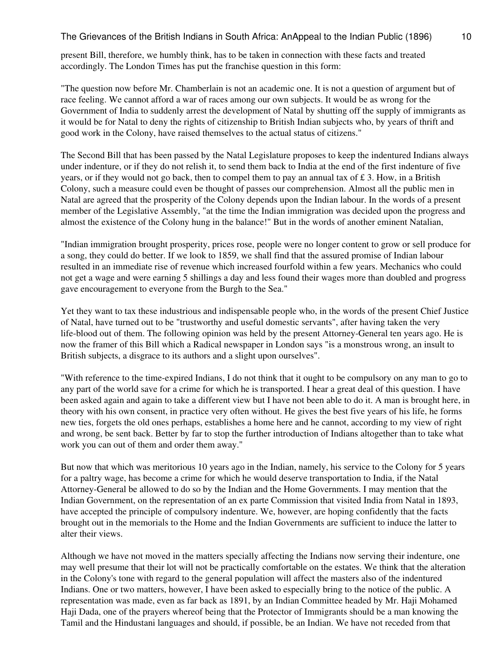present Bill, therefore, we humbly think, has to be taken in connection with these facts and treated accordingly. The London Times has put the franchise question in this form:

"The question now before Mr. Chamberlain is not an academic one. It is not a question of argument but of race feeling. We cannot afford a war of races among our own subjects. It would be as wrong for the Government of India to suddenly arrest the development of Natal by shutting off the supply of immigrants as it would be for Natal to deny the rights of citizenship to British Indian subjects who, by years of thrift and good work in the Colony, have raised themselves to the actual status of citizens."

The Second Bill that has been passed by the Natal Legislature proposes to keep the indentured Indians always under indenture, or if they do not relish it, to send them back to India at the end of the first indenture of five years, or if they would not go back, then to compel them to pay an annual tax of  $\pounds$  3. How, in a British Colony, such a measure could even be thought of passes our comprehension. Almost all the public men in Natal are agreed that the prosperity of the Colony depends upon the Indian labour. In the words of a present member of the Legislative Assembly, "at the time the Indian immigration was decided upon the progress and almost the existence of the Colony hung in the balance!" But in the words of another eminent Natalian,

"Indian immigration brought prosperity, prices rose, people were no longer content to grow or sell produce for a song, they could do better. If we look to 1859, we shall find that the assured promise of Indian labour resulted in an immediate rise of revenue which increased fourfold within a few years. Mechanics who could not get a wage and were earning 5 shillings a day and less found their wages more than doubled and progress gave encouragement to everyone from the Burgh to the Sea."

Yet they want to tax these industrious and indispensable people who, in the words of the present Chief Justice of Natal, have turned out to be "trustworthy and useful domestic servants", after having taken the very life-blood out of them. The following opinion was held by the present Attorney-General ten years ago. He is now the framer of this Bill which a Radical newspaper in London says "is a monstrous wrong, an insult to British subjects, a disgrace to its authors and a slight upon ourselves".

"With reference to the time-expired Indians, I do not think that it ought to be compulsory on any man to go to any part of the world save for a crime for which he is transported. I hear a great deal of this question. I have been asked again and again to take a different view but I have not been able to do it. A man is brought here, in theory with his own consent, in practice very often without. He gives the best five years of his life, he forms new ties, forgets the old ones perhaps, establishes a home here and he cannot, according to my view of right and wrong, be sent back. Better by far to stop the further introduction of Indians altogether than to take what work you can out of them and order them away."

But now that which was meritorious 10 years ago in the Indian, namely, his service to the Colony for 5 years for a paltry wage, has become a crime for which he would deserve transportation to India, if the Natal Attorney-General be allowed to do so by the Indian and the Home Governments. I may mention that the Indian Government, on the representation of an ex parte Commission that visited India from Natal in 1893, have accepted the principle of compulsory indenture. We, however, are hoping confidently that the facts brought out in the memorials to the Home and the Indian Governments are sufficient to induce the latter to alter their views.

Although we have not moved in the matters specially affecting the Indians now serving their indenture, one may well presume that their lot will not be practically comfortable on the estates. We think that the alteration in the Colony's tone with regard to the general population will affect the masters also of the indentured Indians. One or two matters, however, I have been asked to especially bring to the notice of the public. A representation was made, even as far back as 1891, by an Indian Committee headed by Mr. Haji Mohamed Haji Dada, one of the prayers whereof being that the Protector of Immigrants should be a man knowing the Tamil and the Hindustani languages and should, if possible, be an Indian. We have not receded from that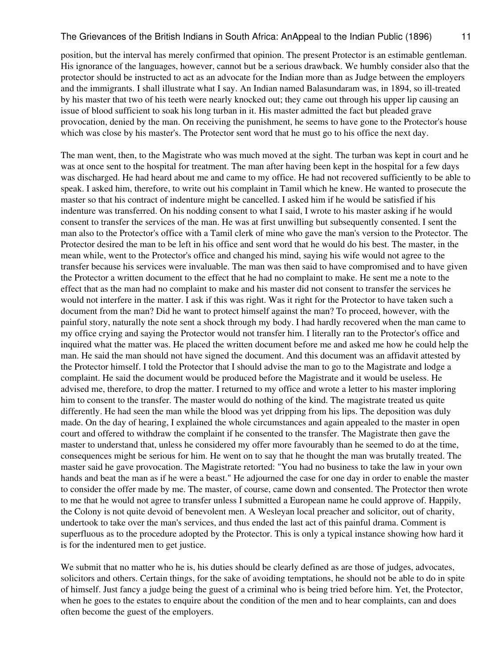position, but the interval has merely confirmed that opinion. The present Protector is an estimable gentleman. His ignorance of the languages, however, cannot but be a serious drawback. We humbly consider also that the protector should be instructed to act as an advocate for the Indian more than as Judge between the employers and the immigrants. I shall illustrate what I say. An Indian named Balasundaram was, in 1894, so ill-treated by his master that two of his teeth were nearly knocked out; they came out through his upper lip causing an issue of blood sufficient to soak his long turban in it. His master admitted the fact but pleaded grave provocation, denied by the man. On receiving the punishment, he seems to have gone to the Protector's house which was close by his master's. The Protector sent word that he must go to his office the next day.

The man went, then, to the Magistrate who was much moved at the sight. The turban was kept in court and he was at once sent to the hospital for treatment. The man after having been kept in the hospital for a few days was discharged. He had heard about me and came to my office. He had not recovered sufficiently to be able to speak. I asked him, therefore, to write out his complaint in Tamil which he knew. He wanted to prosecute the master so that his contract of indenture might be cancelled. I asked him if he would be satisfied if his indenture was transferred. On his nodding consent to what I said, I wrote to his master asking if he would consent to transfer the services of the man. He was at first unwilling but subsequently consented. I sent the man also to the Protector's office with a Tamil clerk of mine who gave the man's version to the Protector. The Protector desired the man to be left in his office and sent word that he would do his best. The master, in the mean while, went to the Protector's office and changed his mind, saying his wife would not agree to the transfer because his services were invaluable. The man was then said to have compromised and to have given the Protector a written document to the effect that he had no complaint to make. He sent me a note to the effect that as the man had no complaint to make and his master did not consent to transfer the services he would not interfere in the matter. I ask if this was right. Was it right for the Protector to have taken such a document from the man? Did he want to protect himself against the man? To proceed, however, with the painful story, naturally the note sent a shock through my body. I had hardly recovered when the man came to my office crying and saying the Protector would not transfer him. I literally ran to the Protector's office and inquired what the matter was. He placed the written document before me and asked me how he could help the man. He said the man should not have signed the document. And this document was an affidavit attested by the Protector himself. I told the Protector that I should advise the man to go to the Magistrate and lodge a complaint. He said the document would be produced before the Magistrate and it would be useless. He advised me, therefore, to drop the matter. I returned to my office and wrote a letter to his master imploring him to consent to the transfer. The master would do nothing of the kind. The magistrate treated us quite differently. He had seen the man while the blood was yet dripping from his lips. The deposition was duly made. On the day of hearing, I explained the whole circumstances and again appealed to the master in open court and offered to withdraw the complaint if he consented to the transfer. The Magistrate then gave the master to understand that, unless he considered my offer more favourably than he seemed to do at the time, consequences might be serious for him. He went on to say that he thought the man was brutally treated. The master said he gave provocation. The Magistrate retorted: "You had no business to take the law in your own hands and beat the man as if he were a beast." He adjourned the case for one day in order to enable the master to consider the offer made by me. The master, of course, came down and consented. The Protector then wrote to me that he would not agree to transfer unless I submitted a European name he could approve of. Happily, the Colony is not quite devoid of benevolent men. A Wesleyan local preacher and solicitor, out of charity, undertook to take over the man's services, and thus ended the last act of this painful drama. Comment is superfluous as to the procedure adopted by the Protector. This is only a typical instance showing how hard it is for the indentured men to get justice.

We submit that no matter who he is, his duties should be clearly defined as are those of judges, advocates, solicitors and others. Certain things, for the sake of avoiding temptations, he should not be able to do in spite of himself. Just fancy a judge being the guest of a criminal who is being tried before him. Yet, the Protector, when he goes to the estates to enquire about the condition of the men and to hear complaints, can and does often become the guest of the employers.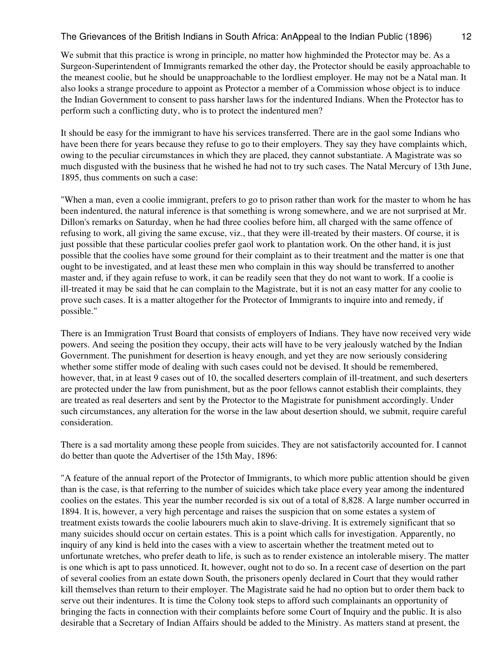We submit that this practice is wrong in principle, no matter how highminded the Protector may be. As a Surgeon-Superintendent of Immigrants remarked the other day, the Protector should be easily approachable to the meanest coolie, but he should be unapproachable to the lordliest employer. He may not be a Natal man. It also looks a strange procedure to appoint as Protector a member of a Commission whose object is to induce the Indian Government to consent to pass harsher laws for the indentured Indians. When the Protector has to perform such a conflicting duty, who is to protect the indentured men?

It should be easy for the immigrant to have his services transferred. There are in the gaol some Indians who have been there for years because they refuse to go to their employers. They say they have complaints which, owing to the peculiar circumstances in which they are placed, they cannot substantiate. A Magistrate was so much disgusted with the business that he wished he had not to try such cases. The Natal Mercury of 13th June, 1895, thus comments on such a case:

"When a man, even a coolie immigrant, prefers to go to prison rather than work for the master to whom he has been indentured, the natural inference is that something is wrong somewhere, and we are not surprised at Mr. Dillon's remarks on Saturday, when he had three coolies before him, all charged with the same offence of refusing to work, all giving the same excuse, viz., that they were ill-treated by their masters. Of course, it is just possible that these particular coolies prefer gaol work to plantation work. On the other hand, it is just possible that the coolies have some ground for their complaint as to their treatment and the matter is one that ought to be investigated, and at least these men who complain in this way should be transferred to another master and, if they again refuse to work, it can be readily seen that they do not want to work. If a coolie is ill-treated it may be said that he can complain to the Magistrate, but it is not an easy matter for any coolie to prove such cases. It is a matter altogether for the Protector of Immigrants to inquire into and remedy, if possible."

There is an Immigration Trust Board that consists of employers of Indians. They have now received very wide powers. And seeing the position they occupy, their acts will have to be very jealously watched by the Indian Government. The punishment for desertion is heavy enough, and yet they are now seriously considering whether some stiffer mode of dealing with such cases could not be devised. It should be remembered, however, that, in at least 9 cases out of 10, the socalled deserters complain of ill-treatment, and such deserters are protected under the law from punishment, but as the poor fellows cannot establish their complaints, they are treated as real deserters and sent by the Protector to the Magistrate for punishment accordingly. Under such circumstances, any alteration for the worse in the law about desertion should, we submit, require careful consideration.

There is a sad mortality among these people from suicides. They are not satisfactorily accounted for. I cannot do better than quote the Advertiser of the 15th May, 1896:

"A feature of the annual report of the Protector of Immigrants, to which more public attention should be given than is the case, is that referring to the number of suicides which take place every year among the indentured coolies on the estates. This year the number recorded is six out of a total of 8,828. A large number occurred in 1894. It is, however, a very high percentage and raises the suspicion that on some estates a system of treatment exists towards the coolie labourers much akin to slave-driving. It is extremely significant that so many suicides should occur on certain estates. This is a point which calls for investigation. Apparently, no inquiry of any kind is held into the cases with a view to ascertain whether the treatment meted out to unfortunate wretches, who prefer death to life, is such as to render existence an intolerable misery. The matter is one which is apt to pass unnoticed. It, however, ought not to do so. In a recent case of desertion on the part of several coolies from an estate down South, the prisoners openly declared in Court that they would rather kill themselves than return to their employer. The Magistrate said he had no option but to order them back to serve out their indentures. It is time the Colony took steps to afford such complainants an opportunity of bringing the facts in connection with their complaints before some Court of Inquiry and the public. It is also desirable that a Secretary of Indian Affairs should be added to the Ministry. As matters stand at present, the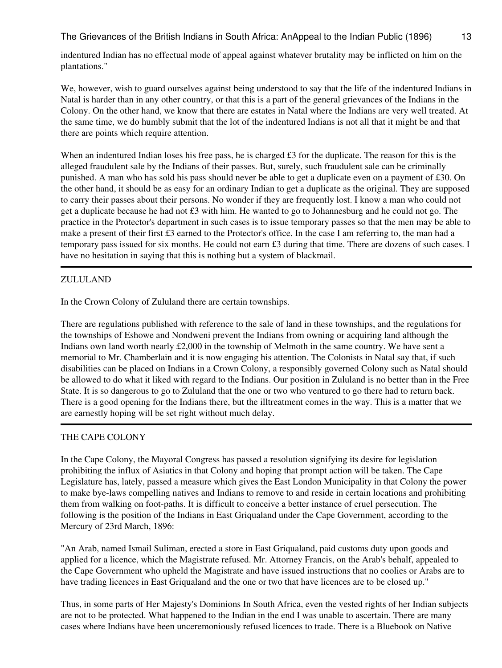indentured Indian has no effectual mode of appeal against whatever brutality may be inflicted on him on the plantations."

We, however, wish to guard ourselves against being understood to say that the life of the indentured Indians in Natal is harder than in any other country, or that this is a part of the general grievances of the Indians in the Colony. On the other hand, we know that there are estates in Natal where the Indians are very well treated. At the same time, we do humbly submit that the lot of the indentured Indians is not all that it might be and that there are points which require attention.

When an indentured Indian loses his free pass, he is charged  $\pounds 3$  for the duplicate. The reason for this is the alleged fraudulent sale by the Indians of their passes. But, surely, such fraudulent sale can be criminally punished. A man who has sold his pass should never be able to get a duplicate even on a payment of £30. On the other hand, it should be as easy for an ordinary Indian to get a duplicate as the original. They are supposed to carry their passes about their persons. No wonder if they are frequently lost. I know a man who could not get a duplicate because he had not £3 with him. He wanted to go to Johannesburg and he could not go. The practice in the Protector's department in such cases is to issue temporary passes so that the men may be able to make a present of their first £3 earned to the Protector's office. In the case I am referring to, the man had a temporary pass issued for six months. He could not earn £3 during that time. There are dozens of such cases. I have no hesitation in saying that this is nothing but a system of blackmail.

## ZULULAND

In the Crown Colony of Zululand there are certain townships.

There are regulations published with reference to the sale of land in these townships, and the regulations for the townships of Eshowe and Nondweni prevent the Indians from owning or acquiring land although the Indians own land worth nearly £2,000 in the township of Melmoth in the same country. We have sent a memorial to Mr. Chamberlain and it is now engaging his attention. The Colonists in Natal say that, if such disabilities can be placed on Indians in a Crown Colony, a responsibly governed Colony such as Natal should be allowed to do what it liked with regard to the Indians. Our position in Zululand is no better than in the Free State. It is so dangerous to go to Zululand that the one or two who ventured to go there had to return back. There is a good opening for the Indians there, but the illtreatment comes in the way. This is a matter that we are earnestly hoping will be set right without much delay.

#### THE CAPE COLONY

In the Cape Colony, the Mayoral Congress has passed a resolution signifying its desire for legislation prohibiting the influx of Asiatics in that Colony and hoping that prompt action will be taken. The Cape Legislature has, lately, passed a measure which gives the East London Municipality in that Colony the power to make bye-laws compelling natives and Indians to remove to and reside in certain locations and prohibiting them from walking on foot-paths. It is difficult to conceive a better instance of cruel persecution. The following is the position of the Indians in East Griqualand under the Cape Government, according to the Mercury of 23rd March, 1896:

"An Arab, named Ismail Suliman, erected a store in East Griqualand, paid customs duty upon goods and applied for a licence, which the Magistrate refused. Mr. Attorney Francis, on the Arab's behalf, appealed to the Cape Government who upheld the Magistrate and have issued instructions that no coolies or Arabs are to have trading licences in East Griqualand and the one or two that have licences are to be closed up."

Thus, in some parts of Her Majesty's Dominions In South Africa, even the vested rights of her Indian subjects are not to be protected. What happened to the Indian in the end I was unable to ascertain. There are many cases where Indians have been unceremoniously refused licences to trade. There is a Bluebook on Native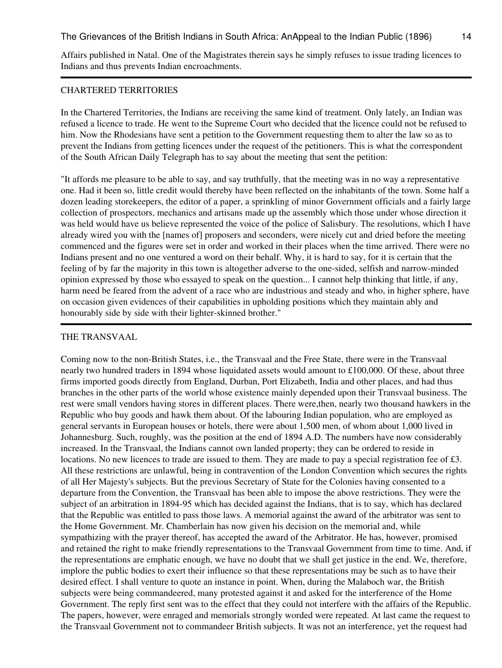Affairs published in Natal. One of the Magistrates therein says he simply refuses to issue trading licences to Indians and thus prevents Indian encroachments.

#### CHARTERED TERRITORIES

In the Chartered Territories, the Indians are receiving the same kind of treatment. Only lately, an Indian was refused a licence to trade. He went to the Supreme Court who decided that the licence could not be refused to him. Now the Rhodesians have sent a petition to the Government requesting them to alter the law so as to prevent the Indians from getting licences under the request of the petitioners. This is what the correspondent of the South African Daily Telegraph has to say about the meeting that sent the petition:

"It affords me pleasure to be able to say, and say truthfully, that the meeting was in no way a representative one. Had it been so, little credit would thereby have been reflected on the inhabitants of the town. Some half a dozen leading storekeepers, the editor of a paper, a sprinkling of minor Government officials and a fairly large collection of prospectors, mechanics and artisans made up the assembly which those under whose direction it was held would have us believe represented the voice of the police of Salisbury. The resolutions, which I have already wired you with the [names of] proposers and seconders, were nicely cut and dried before the meeting commenced and the figures were set in order and worked in their places when the time arrived. There were no Indians present and no one ventured a word on their behalf. Why, it is hard to say, for it is certain that the feeling of by far the majority in this town is altogether adverse to the one-sided, selfish and narrow-minded opinion expressed by those who essayed to speak on the question... I cannot help thinking that little, if any, harm need be feared from the advent of a race who are industrious and steady and who, in higher sphere, have on occasion given evidences of their capabilities in upholding positions which they maintain ably and honourably side by side with their lighter-skinned brother."

#### THE TRANSVAAL

Coming now to the non-British States, i.e., the Transvaal and the Free State, there were in the Transvaal nearly two hundred traders in 1894 whose liquidated assets would amount to £100,000. Of these, about three firms imported goods directly from England, Durban, Port Elizabeth, India and other places, and had thus branches in the other parts of the world whose existence mainly depended upon their Transvaal business. The rest were small vendors having stores in different places. There were,then, nearly two thousand hawkers in the Republic who buy goods and hawk them about. Of the labouring Indian population, who are employed as general servants in European houses or hotels, there were about 1,500 men, of whom about 1,000 lived in Johannesburg. Such, roughly, was the position at the end of 1894 A.D. The numbers have now considerably increased. In the Transvaal, the Indians cannot own landed property; they can be ordered to reside in locations. No new licences to trade are issued to them. They are made to pay a special registration fee of £3. All these restrictions are unlawful, being in contravention of the London Convention which secures the rights of all Her Majesty's subjects. But the previous Secretary of State for the Colonies having consented to a departure from the Convention, the Transvaal has been able to impose the above restrictions. They were the subject of an arbitration in 1894-95 which has decided against the Indians, that is to say, which has declared that the Republic was entitled to pass those laws. A memorial against the award of the arbitrator was sent to the Home Government. Mr. Chamberlain has now given his decision on the memorial and, while sympathizing with the prayer thereof, has accepted the award of the Arbitrator. He has, however, promised and retained the right to make friendly representations to the Transvaal Government from time to time. And, if the representations are emphatic enough, we have no doubt that we shall get justice in the end. We, therefore, implore the public bodies to exert their influence so that these representations may be such as to have their desired effect. I shall venture to quote an instance in point. When, during the Malaboch war, the British subjects were being commandeered, many protested against it and asked for the interference of the Home Government. The reply first sent was to the effect that they could not interfere with the affairs of the Republic. The papers, however, were enraged and memorials strongly worded were repeated. At last came the request to the Transvaal Government not to commandeer British subjects. It was not an interference, yet the request had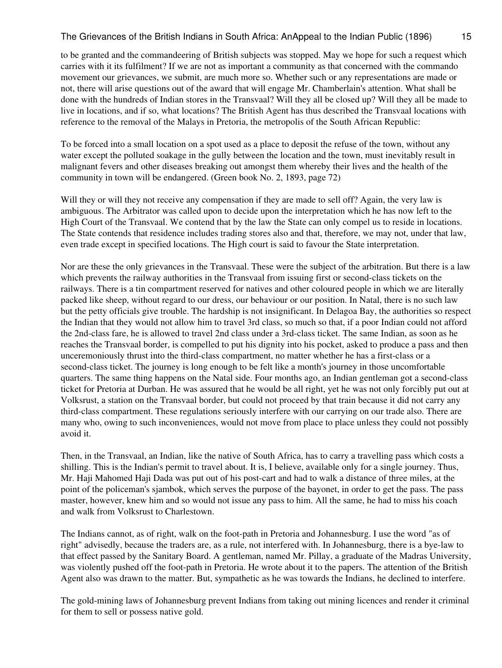to be granted and the commandeering of British subjects was stopped. May we hope for such a request which carries with it its fulfilment? If we are not as important a community as that concerned with the commando movement our grievances, we submit, are much more so. Whether such or any representations are made or not, there will arise questions out of the award that will engage Mr. Chamberlain's attention. What shall be done with the hundreds of Indian stores in the Transvaal? Will they all be closed up? Will they all be made to live in locations, and if so, what locations? The British Agent has thus described the Transvaal locations with reference to the removal of the Malays in Pretoria, the metropolis of the South African Republic:

To be forced into a small location on a spot used as a place to deposit the refuse of the town, without any water except the polluted soakage in the gully between the location and the town, must inevitably result in malignant fevers and other diseases breaking out amongst them whereby their lives and the health of the community in town will be endangered. (Green book No. 2, 1893, page 72)

Will they or will they not receive any compensation if they are made to sell off? Again, the very law is ambiguous. The Arbitrator was called upon to decide upon the interpretation which he has now left to the High Court of the Transvaal. We contend that by the law the State can only compel us to reside in locations. The State contends that residence includes trading stores also and that, therefore, we may not, under that law, even trade except in specified locations. The High court is said to favour the State interpretation.

Nor are these the only grievances in the Transvaal. These were the subject of the arbitration. But there is a law which prevents the railway authorities in the Transvaal from issuing first or second-class tickets on the railways. There is a tin compartment reserved for natives and other coloured people in which we are literally packed like sheep, without regard to our dress, our behaviour or our position. In Natal, there is no such law but the petty officials give trouble. The hardship is not insignificant. In Delagoa Bay, the authorities so respect the Indian that they would not allow him to travel 3rd class, so much so that, if a poor Indian could not afford the 2nd-class fare, he is allowed to travel 2nd class under a 3rd-class ticket. The same Indian, as soon as he reaches the Transvaal border, is compelled to put his dignity into his pocket, asked to produce a pass and then unceremoniously thrust into the third-class compartment, no matter whether he has a first-class or a second-class ticket. The journey is long enough to be felt like a month's journey in those uncomfortable quarters. The same thing happens on the Natal side. Four months ago, an Indian gentleman got a second-class ticket for Pretoria at Durban. He was assured that he would be all right, yet he was not only forcibly put out at Volksrust, a station on the Transvaal border, but could not proceed by that train because it did not carry any third-class compartment. These regulations seriously interfere with our carrying on our trade also. There are many who, owing to such inconveniences, would not move from place to place unless they could not possibly avoid it.

Then, in the Transvaal, an Indian, like the native of South Africa, has to carry a travelling pass which costs a shilling. This is the Indian's permit to travel about. It is, I believe, available only for a single journey. Thus, Mr. Haji Mahomed Haji Dada was put out of his post-cart and had to walk a distance of three miles, at the point of the policeman's sjambok, which serves the purpose of the bayonet, in order to get the pass. The pass master, however, knew him and so would not issue any pass to him. All the same, he had to miss his coach and walk from Volksrust to Charlestown.

The Indians cannot, as of right, walk on the foot-path in Pretoria and Johannesburg. I use the word "as of right" advisedly, because the traders are, as a rule, not interfered with. In Johannesburg, there is a bye-law to that effect passed by the Sanitary Board. A gentleman, named Mr. Pillay, a graduate of the Madras University, was violently pushed off the foot-path in Pretoria. He wrote about it to the papers. The attention of the British Agent also was drawn to the matter. But, sympathetic as he was towards the Indians, he declined to interfere.

The gold-mining laws of Johannesburg prevent Indians from taking out mining licences and render it criminal for them to sell or possess native gold.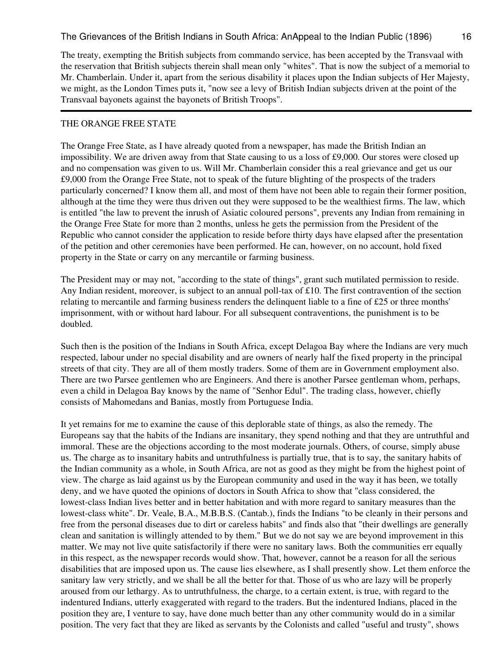The treaty, exempting the British subjects from commando service, has been accepted by the Transvaal with the reservation that British subjects therein shall mean only "whites". That is now the subject of a memorial to Mr. Chamberlain. Under it, apart from the serious disability it places upon the Indian subjects of Her Majesty, we might, as the London Times puts it, "now see a levy of British Indian subjects driven at the point of the Transvaal bayonets against the bayonets of British Troops".

#### THE ORANGE FREE STATE

The Orange Free State, as I have already quoted from a newspaper, has made the British Indian an impossibility. We are driven away from that State causing to us a loss of £9,000. Our stores were closed up and no compensation was given to us. Will Mr. Chamberlain consider this a real grievance and get us our £9,000 from the Orange Free State, not to speak of the future blighting of the prospects of the traders particularly concerned? I know them all, and most of them have not been able to regain their former position, although at the time they were thus driven out they were supposed to be the wealthiest firms. The law, which is entitled "the law to prevent the inrush of Asiatic coloured persons", prevents any Indian from remaining in the Orange Free State for more than 2 months, unless he gets the permission from the President of the Republic who cannot consider the application to reside before thirty days have elapsed after the presentation of the petition and other ceremonies have been performed. He can, however, on no account, hold fixed property in the State or carry on any mercantile or farming business.

The President may or may not, "according to the state of things", grant such mutilated permission to reside. Any Indian resident, moreover, is subject to an annual poll-tax of £10. The first contravention of the section relating to mercantile and farming business renders the delinquent liable to a fine of £25 or three months' imprisonment, with or without hard labour. For all subsequent contraventions, the punishment is to be doubled.

Such then is the position of the Indians in South Africa, except Delagoa Bay where the Indians are very much respected, labour under no special disability and are owners of nearly half the fixed property in the principal streets of that city. They are all of them mostly traders. Some of them are in Government employment also. There are two Parsee gentlemen who are Engineers. And there is another Parsee gentleman whom, perhaps, even a child in Delagoa Bay knows by the name of "Senhor Edul". The trading class, however, chiefly consists of Mahomedans and Banias, mostly from Portuguese India.

It yet remains for me to examine the cause of this deplorable state of things, as also the remedy. The Europeans say that the habits of the Indians are insanitary, they spend nothing and that they are untruthful and immoral. These are the objections according to the most moderate journals. Others, of course, simply abuse us. The charge as to insanitary habits and untruthfulness is partially true, that is to say, the sanitary habits of the Indian community as a whole, in South Africa, are not as good as they might be from the highest point of view. The charge as laid against us by the European community and used in the way it has been, we totally deny, and we have quoted the opinions of doctors in South Africa to show that "class considered, the lowest-class Indian lives better and in better habitation and with more regard to sanitary measures than the lowest-class white". Dr. Veale, B.A., M.B.B.S. (Cantab.), finds the Indians "to be cleanly in their persons and free from the personal diseases due to dirt or careless habits" and finds also that "their dwellings are generally clean and sanitation is willingly attended to by them." But we do not say we are beyond improvement in this matter. We may not live quite satisfactorily if there were no sanitary laws. Both the communities err equally in this respect, as the newspaper records would show. That, however, cannot be a reason for all the serious disabilities that are imposed upon us. The cause lies elsewhere, as I shall presently show. Let them enforce the sanitary law very strictly, and we shall be all the better for that. Those of us who are lazy will be properly aroused from our lethargy. As to untruthfulness, the charge, to a certain extent, is true, with regard to the indentured Indians, utterly exaggerated with regard to the traders. But the indentured Indians, placed in the position they are, I venture to say, have done much better than any other community would do in a similar position. The very fact that they are liked as servants by the Colonists and called "useful and trusty", shows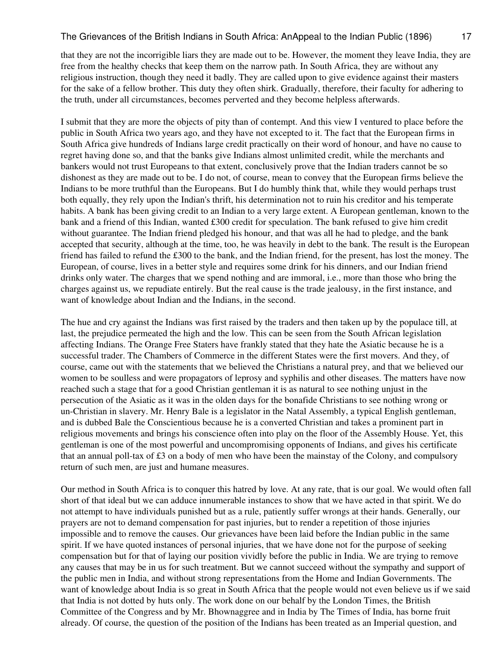that they are not the incorrigible liars they are made out to be. However, the moment they leave India, they are free from the healthy checks that keep them on the narrow path. In South Africa, they are without any religious instruction, though they need it badly. They are called upon to give evidence against their masters for the sake of a fellow brother. This duty they often shirk. Gradually, therefore, their faculty for adhering to the truth, under all circumstances, becomes perverted and they become helpless afterwards.

I submit that they are more the objects of pity than of contempt. And this view I ventured to place before the public in South Africa two years ago, and they have not excepted to it. The fact that the European firms in South Africa give hundreds of Indians large credit practically on their word of honour, and have no cause to regret having done so, and that the banks give Indians almost unlimited credit, while the merchants and bankers would not trust Europeans to that extent, conclusively prove that the Indian traders cannot be so dishonest as they are made out to be. I do not, of course, mean to convey that the European firms believe the Indians to be more truthful than the Europeans. But I do humbly think that, while they would perhaps trust both equally, they rely upon the Indian's thrift, his determination not to ruin his creditor and his temperate habits. A bank has been giving credit to an Indian to a very large extent. A European gentleman, known to the bank and a friend of this Indian, wanted £300 credit for speculation. The bank refused to give him credit without guarantee. The Indian friend pledged his honour, and that was all he had to pledge, and the bank accepted that security, although at the time, too, he was heavily in debt to the bank. The result is the European friend has failed to refund the £300 to the bank, and the Indian friend, for the present, has lost the money. The European, of course, lives in a better style and requires some drink for his dinners, and our Indian friend drinks only water. The charges that we spend nothing and are immoral, i.e., more than those who bring the charges against us, we repudiate entirely. But the real cause is the trade jealousy, in the first instance, and want of knowledge about Indian and the Indians, in the second.

The hue and cry against the Indians was first raised by the traders and then taken up by the populace till, at last, the prejudice permeated the high and the low. This can be seen from the South African legislation affecting Indians. The Orange Free Staters have frankly stated that they hate the Asiatic because he is a successful trader. The Chambers of Commerce in the different States were the first movers. And they, of course, came out with the statements that we believed the Christians a natural prey, and that we believed our women to be soulless and were propagators of leprosy and syphilis and other diseases. The matters have now reached such a stage that for a good Christian gentleman it is as natural to see nothing unjust in the persecution of the Asiatic as it was in the olden days for the bonafide Christians to see nothing wrong or un-Christian in slavery. Mr. Henry Bale is a legislator in the Natal Assembly, a typical English gentleman, and is dubbed Bale the Conscientious because he is a converted Christian and takes a prominent part in religious movements and brings his conscience often into play on the floor of the Assembly House. Yet, this gentleman is one of the most powerful and uncompromising opponents of Indians, and gives his certificate that an annual poll-tax of £3 on a body of men who have been the mainstay of the Colony, and compulsory return of such men, are just and humane measures.

Our method in South Africa is to conquer this hatred by love. At any rate, that is our goal. We would often fall short of that ideal but we can adduce innumerable instances to show that we have acted in that spirit. We do not attempt to have individuals punished but as a rule, patiently suffer wrongs at their hands. Generally, our prayers are not to demand compensation for past injuries, but to render a repetition of those injuries impossible and to remove the causes. Our grievances have been laid before the Indian public in the same spirit. If we have quoted instances of personal injuries, that we have done not for the purpose of seeking compensation but for that of laying our position vividly before the public in India. We are trying to remove any causes that may be in us for such treatment. But we cannot succeed without the sympathy and support of the public men in India, and without strong representations from the Home and Indian Governments. The want of knowledge about India is so great in South Africa that the people would not even believe us if we said that India is not dotted by huts only. The work done on our behalf by the London Times, the British Committee of the Congress and by Mr. Bhownaggree and in India by The Times of India, has borne fruit already. Of course, the question of the position of the Indians has been treated as an Imperial question, and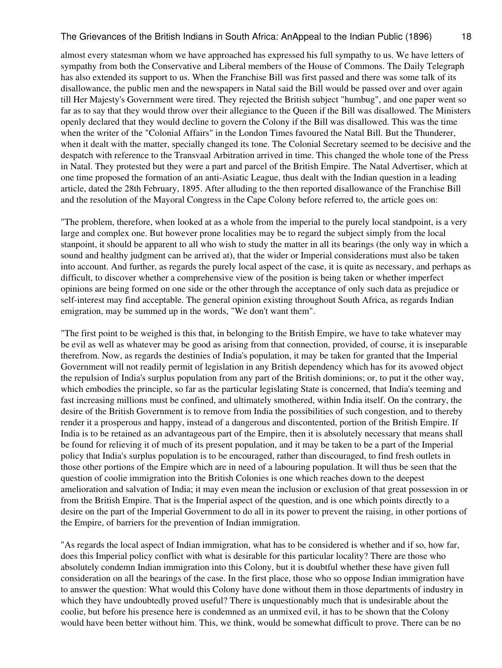almost every statesman whom we have approached has expressed his full sympathy to us. We have letters of sympathy from both the Conservative and Liberal members of the House of Commons. The Daily Telegraph has also extended its support to us. When the Franchise Bill was first passed and there was some talk of its disallowance, the public men and the newspapers in Natal said the Bill would be passed over and over again till Her Majesty's Government were tired. They rejected the British subject "humbug", and one paper went so far as to say that they would throw over their allegiance to the Queen if the Bill was disallowed. The Ministers openly declared that they would decline to govern the Colony if the Bill was disallowed. This was the time when the writer of the "Colonial Affairs" in the London Times favoured the Natal Bill. But the Thunderer, when it dealt with the matter, specially changed its tone. The Colonial Secretary seemed to be decisive and the despatch with reference to the Transvaal Arbitration arrived in time. This changed the whole tone of the Press in Natal. They protested but they were a part and parcel of the British Empire. The Natal Advertiser, which at one time proposed the formation of an anti-Asiatic League, thus dealt with the Indian question in a leading article, dated the 28th February, 1895. After alluding to the then reported disallowance of the Franchise Bill and the resolution of the Mayoral Congress in the Cape Colony before referred to, the article goes on:

"The problem, therefore, when looked at as a whole from the imperial to the purely local standpoint, is a very large and complex one. But however prone localities may be to regard the subject simply from the local stanpoint, it should be apparent to all who wish to study the matter in all its bearings (the only way in which a sound and healthy judgment can be arrived at), that the wider or Imperial considerations must also be taken into account. And further, as regards the purely local aspect of the case, it is quite as necessary, and perhaps as difficult, to discover whether a comprehensive view of the position is being taken or whether imperfect opinions are being formed on one side or the other through the acceptance of only such data as prejudice or self-interest may find acceptable. The general opinion existing throughout South Africa, as regards Indian emigration, may be summed up in the words, "We don't want them".

"The first point to be weighed is this that, in belonging to the British Empire, we have to take whatever may be evil as well as whatever may be good as arising from that connection, provided, of course, it is inseparable therefrom. Now, as regards the destinies of India's population, it may be taken for granted that the Imperial Government will not readily permit of legislation in any British dependency which has for its avowed object the repulsion of India's surplus population from any part of the British dominions; or, to put it the other way, which embodies the principle, so far as the particular legislating State is concerned, that India's teeming and fast increasing millions must be confined, and ultimately smothered, within India itself. On the contrary, the desire of the British Government is to remove from India the possibilities of such congestion, and to thereby render it a prosperous and happy, instead of a dangerous and discontented, portion of the British Empire. If India is to be retained as an advantageous part of the Empire, then it is absolutely necessary that means shall be found for relieving it of much of its present population, and it may be taken to be a part of the Imperial policy that India's surplus population is to be encouraged, rather than discouraged, to find fresh outlets in those other portions of the Empire which are in need of a labouring population. It will thus be seen that the question of coolie immigration into the British Colonies is one which reaches down to the deepest amelioration and salvation of India; it may even mean the inclusion or exclusion of that great possession in or from the British Empire. That is the Imperial aspect of the question, and is one which points directly to a desire on the part of the Imperial Government to do all in its power to prevent the raising, in other portions of the Empire, of barriers for the prevention of Indian immigration.

"As regards the local aspect of Indian immigration, what has to be considered is whether and if so, how far, does this Imperial policy conflict with what is desirable for this particular locality? There are those who absolutely condemn Indian immigration into this Colony, but it is doubtful whether these have given full consideration on all the bearings of the case. In the first place, those who so oppose Indian immigration have to answer the question: What would this Colony have done without them in those departments of industry in which they have undoubtedly proved useful? There is unquestionably much that is undesirable about the coolie, but before his presence here is condemned as an unmixed evil, it has to be shown that the Colony would have been better without him. This, we think, would be somewhat difficult to prove. There can be no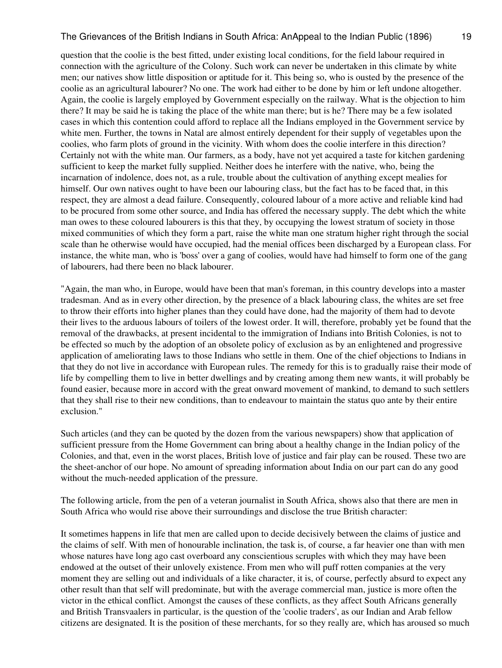question that the coolie is the best fitted, under existing local conditions, for the field labour required in connection with the agriculture of the Colony. Such work can never be undertaken in this climate by white men; our natives show little disposition or aptitude for it. This being so, who is ousted by the presence of the coolie as an agricultural labourer? No one. The work had either to be done by him or left undone altogether. Again, the coolie is largely employed by Government especially on the railway. What is the objection to him there? It may be said he is taking the place of the white man there; but is he? There may be a few isolated cases in which this contention could afford to replace all the Indians employed in the Government service by white men. Further, the towns in Natal are almost entirely dependent for their supply of vegetables upon the coolies, who farm plots of ground in the vicinity. With whom does the coolie interfere in this direction? Certainly not with the white man. Our farmers, as a body, have not yet acquired a taste for kitchen gardening sufficient to keep the market fully supplied. Neither does he interfere with the native, who, being the incarnation of indolence, does not, as a rule, trouble about the cultivation of anything except mealies for himself. Our own natives ought to have been our labouring class, but the fact has to be faced that, in this respect, they are almost a dead failure. Consequently, coloured labour of a more active and reliable kind had to be procured from some other source, and India has offered the necessary supply. The debt which the white man owes to these coloured labourers is this that they, by occupying the lowest stratum of society in those mixed communities of which they form a part, raise the white man one stratum higher right through the social scale than he otherwise would have occupied, had the menial offices been discharged by a European class. For instance, the white man, who is 'boss' over a gang of coolies, would have had himself to form one of the gang of labourers, had there been no black labourer.

"Again, the man who, in Europe, would have been that man's foreman, in this country develops into a master tradesman. And as in every other direction, by the presence of a black labouring class, the whites are set free to throw their efforts into higher planes than they could have done, had the majority of them had to devote their lives to the arduous labours of toilers of the lowest order. It will, therefore, probably yet be found that the removal of the drawbacks, at present incidental to the immigration of Indians into British Colonies, is not to be effected so much by the adoption of an obsolete policy of exclusion as by an enlightened and progressive application of ameliorating laws to those Indians who settle in them. One of the chief objections to Indians in that they do not live in accordance with European rules. The remedy for this is to gradually raise their mode of life by compelling them to live in better dwellings and by creating among them new wants, it will probably be found easier, because more in accord with the great onward movement of mankind, to demand to such settlers that they shall rise to their new conditions, than to endeavour to maintain the status quo ante by their entire exclusion."

Such articles (and they can be quoted by the dozen from the various newspapers) show that application of sufficient pressure from the Home Government can bring about a healthy change in the Indian policy of the Colonies, and that, even in the worst places, British love of justice and fair play can be roused. These two are the sheet-anchor of our hope. No amount of spreading information about India on our part can do any good without the much-needed application of the pressure.

The following article, from the pen of a veteran journalist in South Africa, shows also that there are men in South Africa who would rise above their surroundings and disclose the true British character:

It sometimes happens in life that men are called upon to decide decisively between the claims of justice and the claims of self. With men of honourable inclination, the task is, of course, a far heavier one than with men whose natures have long ago cast overboard any conscientious scruples with which they may have been endowed at the outset of their unlovely existence. From men who will puff rotten companies at the very moment they are selling out and individuals of a like character, it is, of course, perfectly absurd to expect any other result than that self will predominate, but with the average commercial man, justice is more often the victor in the ethical conflict. Amongst the causes of these conflicts, as they affect South Africans generally and British Transvaalers in particular, is the question of the 'coolie traders', as our Indian and Arab fellow citizens are designated. It is the position of these merchants, for so they really are, which has aroused so much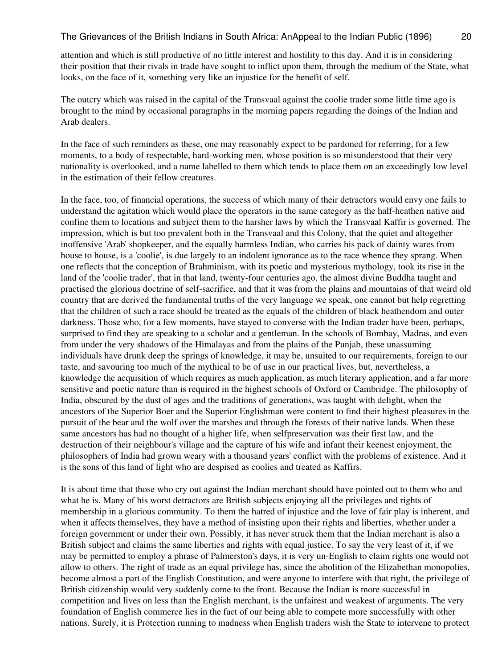attention and which is still productive of no little interest and hostility to this day. And it is in considering their position that their rivals in trade have sought to inflict upon them, through the medium of the State, what looks, on the face of it, something very like an injustice for the benefit of self.

The outcry which was raised in the capital of the Transvaal against the coolie trader some little time ago is brought to the mind by occasional paragraphs in the morning papers regarding the doings of the Indian and Arab dealers.

In the face of such reminders as these, one may reasonably expect to be pardoned for referring, for a few moments, to a body of respectable, hard-working men, whose position is so misunderstood that their very nationality is overlooked, and a name labelled to them which tends to place them on an exceedingly low level in the estimation of their fellow creatures.

In the face, too, of financial operations, the success of which many of their detractors would envy one fails to understand the agitation which would place the operators in the same category as the half-heathen native and confine them to locations and subject them to the harsher laws by which the Transvaal Kaffir is governed. The impression, which is but too prevalent both in the Transvaal and this Colony, that the quiet and altogether inoffensive 'Arab' shopkeeper, and the equally harmless Indian, who carries his pack of dainty wares from house to house, is a 'coolie', is due largely to an indolent ignorance as to the race whence they sprang. When one reflects that the conception of Brahminism, with its poetic and mysterious mythology, took its rise in the land of the 'coolie trader', that in that land, twenty-four centuries ago, the almost divine Buddha taught and practised the glorious doctrine of self-sacrifice, and that it was from the plains and mountains of that weird old country that are derived the fundamental truths of the very language we speak, one cannot but help regretting that the children of such a race should be treated as the equals of the children of black heathendom and outer darkness. Those who, for a few moments, have stayed to converse with the Indian trader have been, perhaps, surprised to find they are speaking to a scholar and a gentleman. In the schools of Bombay, Madras, and even from under the very shadows of the Himalayas and from the plains of the Punjab, these unassuming individuals have drunk deep the springs of knowledge, it may be, unsuited to our requirements, foreign to our taste, and savouring too much of the mythical to be of use in our practical lives, but, nevertheless, a knowledge the acquisition of which requires as much application, as much literary application, and a far more sensitive and poetic nature than is required in the highest schools of Oxford or Cambridge. The philosophy of India, obscured by the dust of ages and the traditions of generations, was taught with delight, when the ancestors of the Superior Boer and the Superior Englishman were content to find their highest pleasures in the pursuit of the bear and the wolf over the marshes and through the forests of their native lands. When these same ancestors has had no thought of a higher life, when selfpreservation was their first law, and the destruction of their neighbour's village and the capture of his wife and infant their keenest enjoyment, the philosophers of India had grown weary with a thousand years' conflict with the problems of existence. And it is the sons of this land of light who are despised as coolies and treated as Kaffirs.

It is about time that those who cry out against the Indian merchant should have pointed out to them who and what he is. Many of his worst detractors are British subjects enjoying all the privileges and rights of membership in a glorious community. To them the hatred of injustice and the love of fair play is inherent, and when it affects themselves, they have a method of insisting upon their rights and liberties, whether under a foreign government or under their own. Possibly, it has never struck them that the Indian merchant is also a British subject and claims the same liberties and rights with equal justice. To say the very least of it, if we may be permitted to employ a phrase of Palmerston's days, it is very un-English to claim rights one would not allow to others. The right of trade as an equal privilege has, since the abolition of the Elizabethan monopolies, become almost a part of the English Constitution, and were anyone to interfere with that right, the privilege of British citizenship would very suddenly come to the front. Because the Indian is more successful in competition and lives on less than the English merchant, is the unfairest and weakest of arguments. The very foundation of English commerce lies in the fact of our being able to compete more successfully with other nations. Surely, it is Protection running to madness when English traders wish the State to intervene to protect